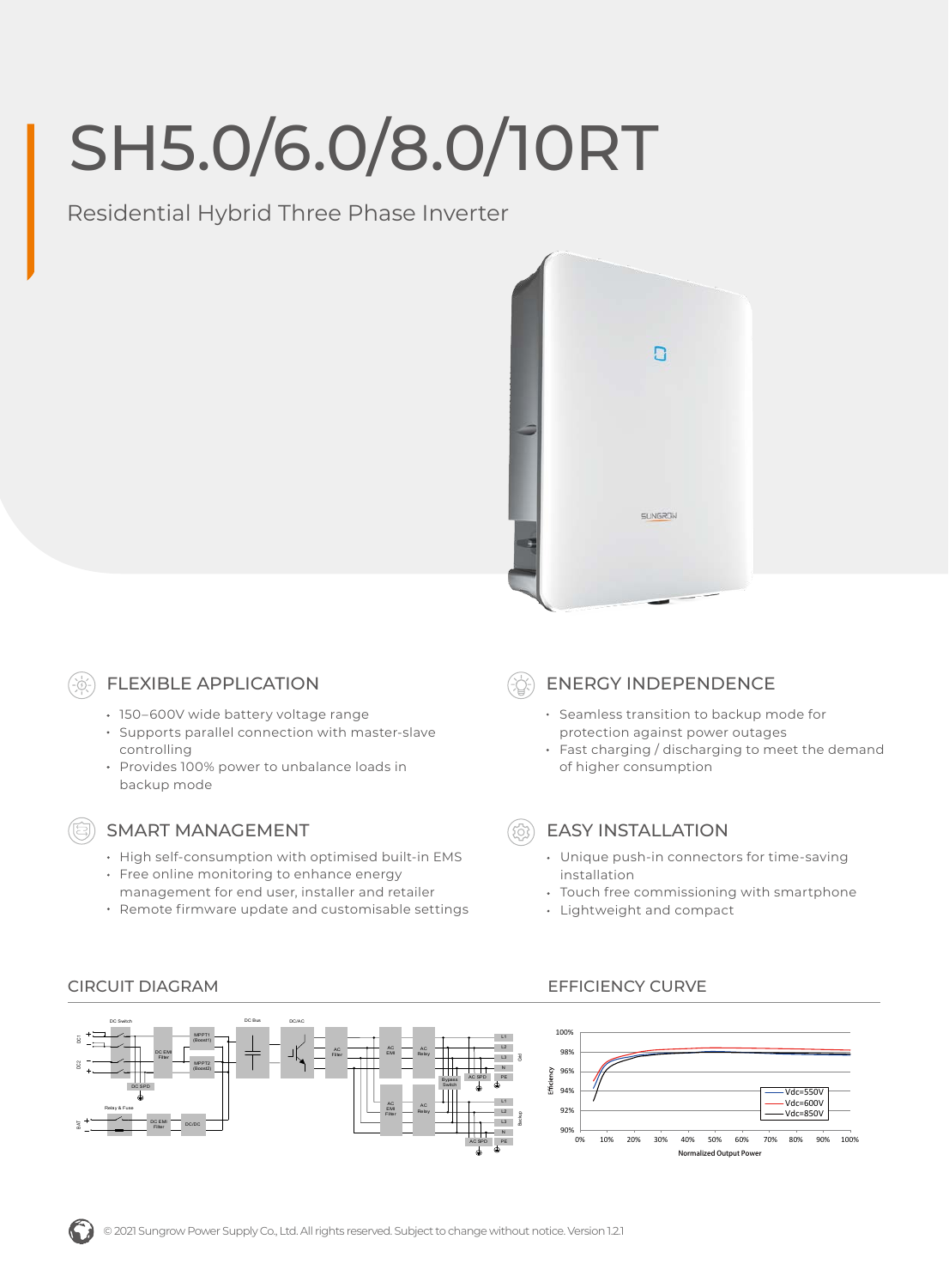# SH5.0/6.0/8.0/10RT

Residential Hybrid Three Phase Inverter



## FLEXIBLE APPLICATION

- 150–600V wide battery voltage range
- Supports parallel connection with master-slave controlling
- Provides 100% power to unbalance loads in backup mode

- SMART MANAGEMENT
- High self-consumption with optimised built-in EMS
- Free online monitoring to enhance energy
- management for end user, installer and retailer
- Remote firmware update and customisable settings

## ENERGY INDEPENDENCE

- Seamless transition to backup mode for protection against power outages
- Fast charging / discharging to meet the demand of higher consumption

## EASY INSTALLATION

- Unique push-in connectors for time-saving installation
- Touch free commissioning with smartphone
- Lightweight and compact



#### CIRCUIT DIAGRAM EFFICIENCY CURVE